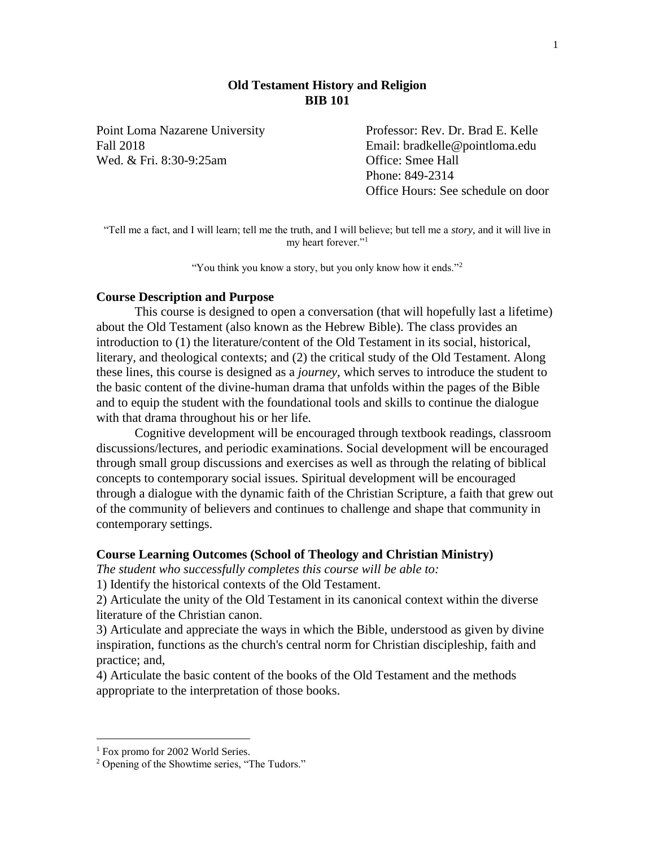# **Old Testament History and Religion BIB 101**

Point Loma Nazarene University Professor: Rev. Dr. Brad E. Kelle Wed. & Fri. 8:30-9:25am Office: Smee Hall

Fall 2018 Email: bradkelle@pointloma.edu Phone: 849-2314 Office Hours: See schedule on door

"Tell me a fact, and I will learn; tell me the truth, and I will believe; but tell me a *story*, and it will live in my heart forever."<sup>1</sup>

"You think you know a story, but you only know how it ends."<sup>2</sup>

#### **Course Description and Purpose**

This course is designed to open a conversation (that will hopefully last a lifetime) about the Old Testament (also known as the Hebrew Bible). The class provides an introduction to (1) the literature/content of the Old Testament in its social, historical, literary, and theological contexts; and (2) the critical study of the Old Testament. Along these lines, this course is designed as a *journey*, which serves to introduce the student to the basic content of the divine-human drama that unfolds within the pages of the Bible and to equip the student with the foundational tools and skills to continue the dialogue with that drama throughout his or her life.

Cognitive development will be encouraged through textbook readings, classroom discussions/lectures, and periodic examinations. Social development will be encouraged through small group discussions and exercises as well as through the relating of biblical concepts to contemporary social issues. Spiritual development will be encouraged through a dialogue with the dynamic faith of the Christian Scripture, a faith that grew out of the community of believers and continues to challenge and shape that community in contemporary settings.

#### **Course Learning Outcomes (School of Theology and Christian Ministry)**

*The student who successfully completes this course will be able to:*

1) Identify the historical contexts of the Old Testament.

2) Articulate the unity of the Old Testament in its canonical context within the diverse literature of the Christian canon.

3) Articulate and appreciate the ways in which the Bible, understood as given by divine inspiration, functions as the church's central norm for Christian discipleship, faith and practice; and,

4) Articulate the basic content of the books of the Old Testament and the methods appropriate to the interpretation of those books.

 $\overline{a}$ 

<sup>&</sup>lt;sup>1</sup> Fox promo for 2002 World Series.

<sup>&</sup>lt;sup>2</sup> Opening of the Showtime series, "The Tudors."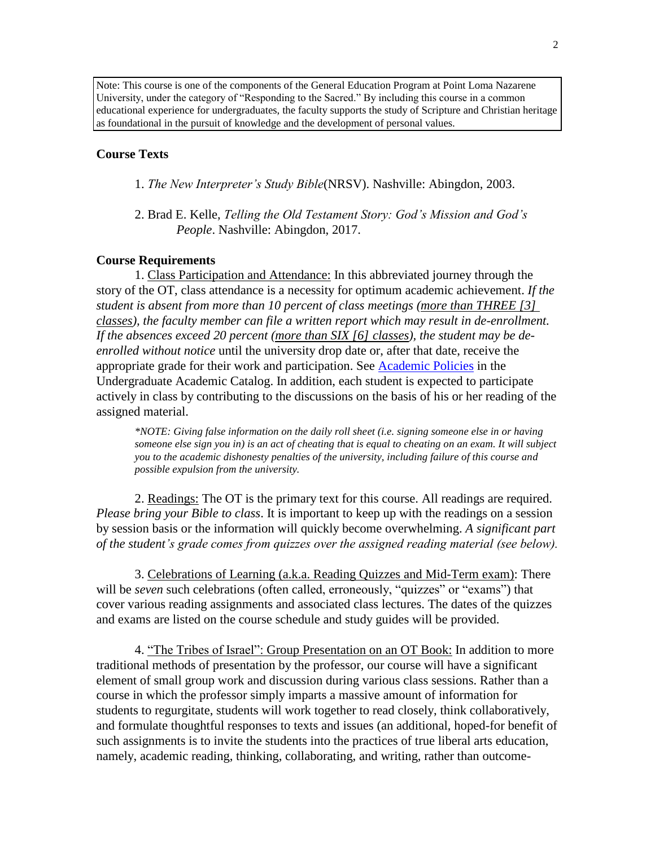Note: This course is one of the components of the General Education Program at Point Loma Nazarene University, under the category of "Responding to the Sacred." By including this course in a common educational experience for undergraduates, the faculty supports the study of Scripture and Christian heritage as foundational in the pursuit of knowledge and the development of personal values.

# **Course Texts**

- 1. *The New Interpreter's Study Bible*(NRSV). Nashville: Abingdon, 2003.
- 2. Brad E. Kelle, *Telling the Old Testament Story: God's Mission and God's People*. Nashville: Abingdon, 2017.

### **Course Requirements**

1. Class Participation and Attendance: In this abbreviated journey through the story of the OT, class attendance is a necessity for optimum academic achievement. *If the student is absent from more than 10 percent of class meetings (more than THREE [3] classes), the faculty member can file a written report which may result in de-enrollment. If the absences exceed 20 percent (more than SIX [6] classes), the student may be deenrolled without notice* until the university drop date or, after that date, receive the appropriate grade for their work and participation. See [Academic Policies](http://catalog.pointloma.edu/content.php?catoid=18&navoid=1278) in the Undergraduate Academic Catalog. In addition, each student is expected to participate actively in class by contributing to the discussions on the basis of his or her reading of the assigned material.

*\*NOTE: Giving false information on the daily roll sheet (i.e. signing someone else in or having someone else sign you in) is an act of cheating that is equal to cheating on an exam. It will subject you to the academic dishonesty penalties of the university, including failure of this course and possible expulsion from the university.*

2. Readings: The OT is the primary text for this course. All readings are required. *Please bring your Bible to class*. It is important to keep up with the readings on a session by session basis or the information will quickly become overwhelming. *A significant part of the student's grade comes from quizzes over the assigned reading material (see below).*

3. Celebrations of Learning (a.k.a. Reading Quizzes and Mid-Term exam): There will be *seven* such celebrations (often called, erroneously, "quizzes" or "exams") that cover various reading assignments and associated class lectures. The dates of the quizzes and exams are listed on the course schedule and study guides will be provided.

4. "The Tribes of Israel": Group Presentation on an OT Book: In addition to more traditional methods of presentation by the professor, our course will have a significant element of small group work and discussion during various class sessions. Rather than a course in which the professor simply imparts a massive amount of information for students to regurgitate, students will work together to read closely, think collaboratively, and formulate thoughtful responses to texts and issues (an additional, hoped-for benefit of such assignments is to invite the students into the practices of true liberal arts education, namely, academic reading, thinking, collaborating, and writing, rather than outcome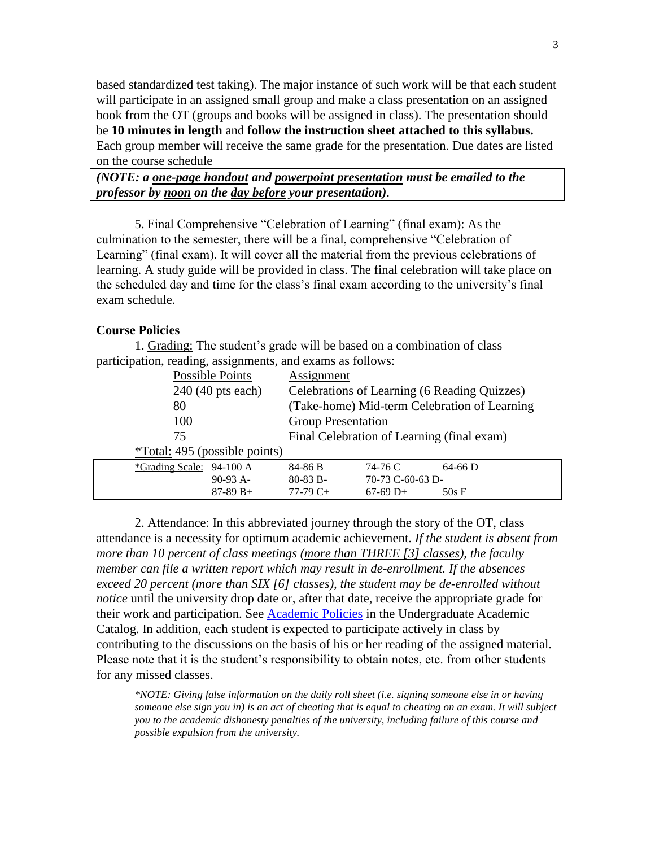based standardized test taking). The major instance of such work will be that each student will participate in an assigned small group and make a class presentation on an assigned book from the OT (groups and books will be assigned in class). The presentation should be **10 minutes in length** and **follow the instruction sheet attached to this syllabus.** Each group member will receive the same grade for the presentation. Due dates are listed on the course schedule

*(NOTE: a one-page handout and powerpoint presentation must be emailed to the professor by noon on the day before your presentation)*.

5. Final Comprehensive "Celebration of Learning" (final exam): As the culmination to the semester, there will be a final, comprehensive "Celebration of Learning" (final exam). It will cover all the material from the previous celebrations of learning. A study guide will be provided in class. The final celebration will take place on the scheduled day and time for the class's final exam according to the university's final exam schedule.

### **Course Policies**

1. Grading: The student's grade will be based on a combination of class participation, reading, assignments, and exams as follows:

| Possible Points               |            | Assignment                                   |                  |           |
|-------------------------------|------------|----------------------------------------------|------------------|-----------|
| $240(40 \text{ pts each})$    |            | Celebrations of Learning (6 Reading Quizzes) |                  |           |
| 80                            |            | (Take-home) Mid-term Celebration of Learning |                  |           |
| 100                           |            | <b>Group Presentation</b>                    |                  |           |
| 75                            |            | Final Celebration of Learning (final exam)   |                  |           |
| *Total: 495 (possible points) |            |                                              |                  |           |
| *Grading Scale: 94-100 A      |            | 84-86 B                                      | 74-76 C          | $64-66$ D |
|                               | $90-93$ A- | $80-83 B -$                                  | 70-73 C-60-63 D- |           |
|                               | $87-89 B+$ | $77-79C+$                                    | $67-69$ D+       | 50sF      |

2. Attendance: In this abbreviated journey through the story of the OT, class attendance is a necessity for optimum academic achievement. *If the student is absent from more than 10 percent of class meetings (more than THREE [3] classes), the faculty member can file a written report which may result in de-enrollment. If the absences exceed 20 percent (more than SIX [6] classes), the student may be de-enrolled without notice* until the university drop date or, after that date, receive the appropriate grade for their work and participation. See [Academic Policies](http://catalog.pointloma.edu/content.php?catoid=18&navoid=1278) in the Undergraduate Academic Catalog. In addition, each student is expected to participate actively in class by contributing to the discussions on the basis of his or her reading of the assigned material. Please note that it is the student's responsibility to obtain notes, etc. from other students for any missed classes.

*\*NOTE: Giving false information on the daily roll sheet (i.e. signing someone else in or having someone else sign you in) is an act of cheating that is equal to cheating on an exam. It will subject you to the academic dishonesty penalties of the university, including failure of this course and possible expulsion from the university.*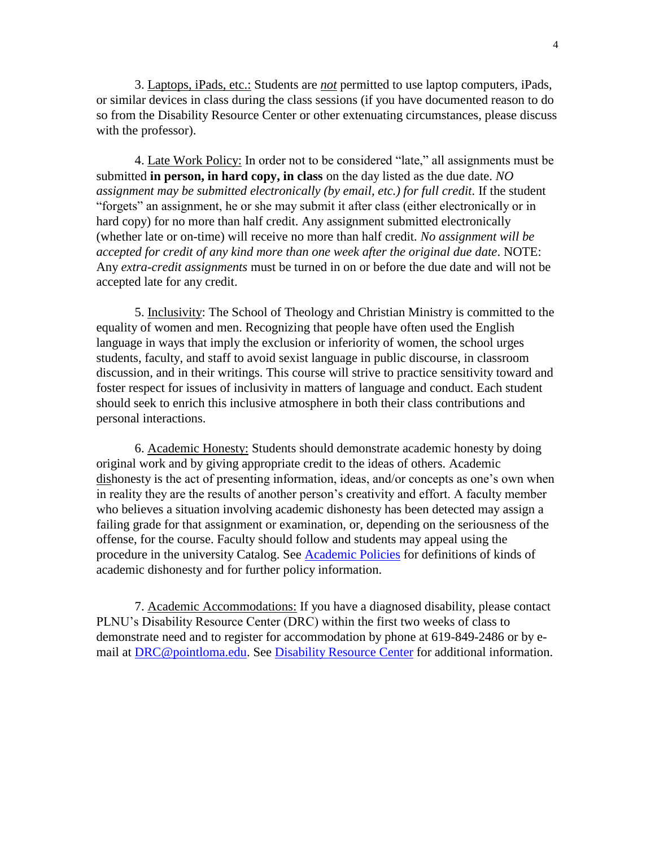3. Laptops, iPads, etc.: Students are *not* permitted to use laptop computers, iPads, or similar devices in class during the class sessions (if you have documented reason to do so from the Disability Resource Center or other extenuating circumstances, please discuss with the professor).

4. Late Work Policy: In order not to be considered "late," all assignments must be submitted **in person, in hard copy, in class** on the day listed as the due date. *NO assignment may be submitted electronically (by email, etc.) for full credit.* If the student "forgets" an assignment, he or she may submit it after class (either electronically or in hard copy) for no more than half credit. Any assignment submitted electronically (whether late or on-time) will receive no more than half credit*. No assignment will be accepted for credit of any kind more than one week after the original due date*. NOTE: Any *extra-credit assignments* must be turned in on or before the due date and will not be accepted late for any credit.

5. Inclusivity: The School of Theology and Christian Ministry is committed to the equality of women and men. Recognizing that people have often used the English language in ways that imply the exclusion or inferiority of women, the school urges students, faculty, and staff to avoid sexist language in public discourse, in classroom discussion, and in their writings. This course will strive to practice sensitivity toward and foster respect for issues of inclusivity in matters of language and conduct. Each student should seek to enrich this inclusive atmosphere in both their class contributions and personal interactions.

6. Academic Honesty: Students should demonstrate academic honesty by doing original work and by giving appropriate credit to the ideas of others. Academic dishonesty is the act of presenting information, ideas, and/or concepts as one's own when in reality they are the results of another person's creativity and effort. A faculty member who believes a situation involving academic dishonesty has been detected may assign a failing grade for that assignment or examination, or, depending on the seriousness of the offense, for the course. Faculty should follow and students may appeal using the procedure in the university Catalog. See [Academic Policies](http://catalog.pointloma.edu/content.php?catoid=18&navoid=1278) for definitions of kinds of academic dishonesty and for further policy information.

7. Academic Accommodations: If you have a diagnosed disability, please contact PLNU's Disability Resource Center (DRC) within the first two weeks of class to demonstrate need and to register for accommodation by phone at 619-849-2486 or by email at [DRC@pointloma.edu.](mailto:DRC@pointloma.edu) See [Disability Resource Center](http://www.pointloma.edu/experience/offices/administrative-offices/academic-advising-office/disability-resource-center) for additional information.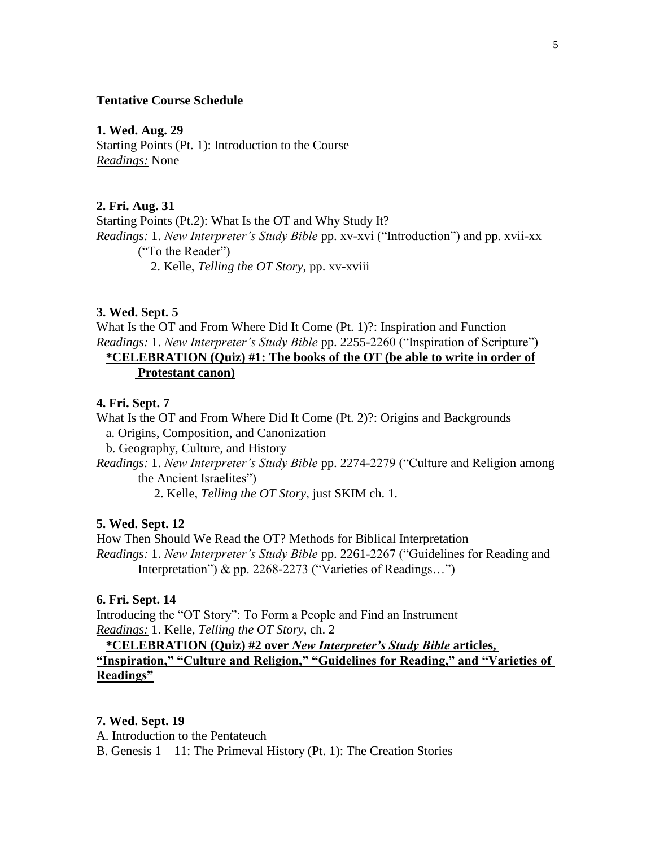### **Tentative Course Schedule**

**1. Wed. Aug. 29**

Starting Points (Pt. 1): Introduction to the Course *Readings:* None

# **2. Fri. Aug. 31**

Starting Points (Pt.2): What Is the OT and Why Study It? *Readings:* 1. *New Interpreter's Study Bible* pp. xv-xvi ("Introduction") and pp. xvii-xx ("To the Reader")

2. Kelle, *Telling the OT Story*, pp. xv-xviii

## **3. Wed. Sept. 5**

What Is the OT and From Where Did It Come (Pt. 1)?: Inspiration and Function *Readings:* 1. *New Interpreter's Study Bible* pp. 2255-2260 ("Inspiration of Scripture")  **\*CELEBRATION (Quiz) #1: The books of the OT (be able to write in order of Protestant canon)**

#### **4. Fri. Sept. 7**

What Is the OT and From Where Did It Come (Pt. 2)?: Origins and Backgrounds a. Origins, Composition, and Canonization

b. Geography, Culture, and History

*Readings:* 1. *New Interpreter's Study Bible* pp. 2274-2279 ("Culture and Religion among the Ancient Israelites")

2. Kelle, *Telling the OT Story*, just SKIM ch. 1.

# **5. Wed. Sept. 12**

How Then Should We Read the OT? Methods for Biblical Interpretation *Readings:* 1. *New Interpreter's Study Bible* pp. 2261-2267 ("Guidelines for Reading and Interpretation") & pp. 2268-2273 ("Varieties of Readings…")

# **6. Fri. Sept. 14**

Introducing the "OT Story": To Form a People and Find an Instrument *Readings:* 1. Kelle, *Telling the OT Story*, ch. 2

# **\*CELEBRATION (Quiz) #2 over** *New Interpreter's Study Bible* **articles, "Inspiration," "Culture and Religion," "Guidelines for Reading," and "Varieties of Readings"**

#### **7. Wed. Sept. 19**

A. Introduction to the Pentateuch

B. Genesis 1—11: The Primeval History (Pt. 1): The Creation Stories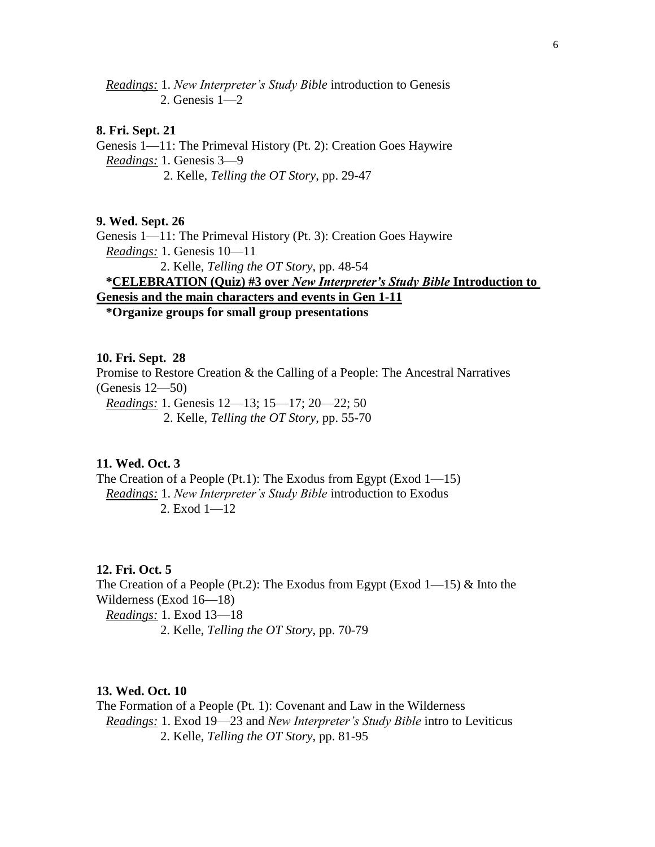*Readings:* 1. *New Interpreter's Study Bible* introduction to Genesis 2. Genesis 1—2

## **8. Fri. Sept. 21**

Genesis 1—11: The Primeval History (Pt. 2): Creation Goes Haywire *Readings:* 1. Genesis 3—9 2. Kelle, *Telling the OT Story*, pp. 29-47

### **9. Wed. Sept. 26**

Genesis 1—11: The Primeval History (Pt. 3): Creation Goes Haywire *Readings:* 1. Genesis 10—11 2. Kelle, *Telling the OT Story*, pp. 48-54 **\*CELEBRATION (Quiz) #3 over** *New Interpreter's Study Bible* **Introduction to Genesis and the main characters and events in Gen 1-11**

 **\*Organize groups for small group presentations**

### **10. Fri. Sept. 28**

Promise to Restore Creation & the Calling of a People: The Ancestral Narratives (Genesis 12—50) *Readings:* 1. Genesis 12—13; 15—17; 20—22; 50

2. Kelle, *Telling the OT Story*, pp. 55-70

#### **11. Wed. Oct. 3**

The Creation of a People (Pt.1): The Exodus from Egypt (Exod 1—15) *Readings:* 1. *New Interpreter's Study Bible* introduction to Exodus 2. Exod 1—12

### **12. Fri. Oct. 5**

The Creation of a People (Pt.2): The Exodus from Egypt (Exod  $1-15$ ) & Into the Wilderness (Exod 16—18)

 *Readings:* 1. Exod 13—18 2. Kelle, *Telling the OT Story*, pp. 70-79

### **13. Wed. Oct. 10**

The Formation of a People (Pt. 1): Covenant and Law in the Wilderness *Readings:* 1. Exod 19—23 and *New Interpreter's Study Bible* intro to Leviticus 2. Kelle, *Telling the OT Story*, pp. 81-95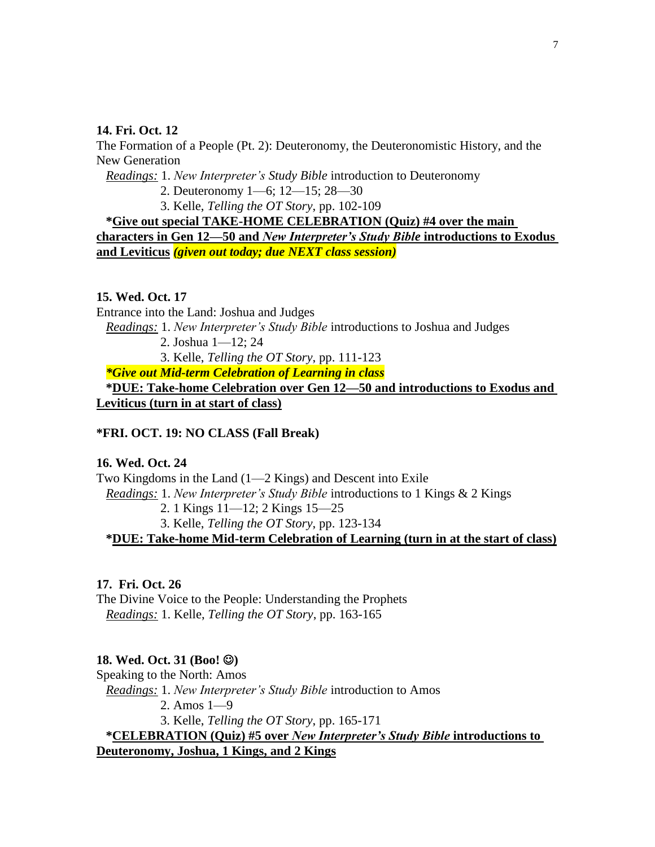# **14. Fri. Oct. 12**

The Formation of a People (Pt. 2): Deuteronomy, the Deuteronomistic History, and the New Generation

*Readings:* 1. *New Interpreter's Study Bible* introduction to Deuteronomy

2. Deuteronomy 1—6; 12—15; 28—30

3. Kelle, *Telling the OT Story*, pp. 102-109

 **\*Give out special TAKE-HOME CELEBRATION (Quiz) #4 over the main characters in Gen 12—50 and** *New Interpreter's Study Bible* **introductions to Exodus and Leviticus** *(given out today; due NEXT class session)*

# **15. Wed. Oct. 17**

Entrance into the Land: Joshua and Judges

*Readings:* 1. *New Interpreter's Study Bible* introductions to Joshua and Judges

2. Joshua 1—12; 24

3. Kelle, *Telling the OT Story*, pp. 111-123

 *\*Give out Mid-term Celebration of Learning in class*

 **\*DUE: Take-home Celebration over Gen 12—50 and introductions to Exodus and Leviticus (turn in at start of class)**

**\*FRI. OCT. 19: NO CLASS (Fall Break)**

# **16. Wed. Oct. 24**

Two Kingdoms in the Land (1—2 Kings) and Descent into Exile *Readings:* 1. *New Interpreter's Study Bible* introductions to 1 Kings & 2 Kings 2. 1 Kings 11—12; 2 Kings 15—25 3. Kelle, *Telling the OT Story*, pp. 123-134

**\*DUE: Take-home Mid-term Celebration of Learning (turn in at the start of class)**

# **17. Fri. Oct. 26**

The Divine Voice to the People: Understanding the Prophets *Readings:* 1. Kelle, *Telling the OT Story*, pp. 163-165

### **18. Wed. Oct. 31 (Boo! )**

Speaking to the North: Amos

*Readings:* 1. *New Interpreter's Study Bible* introduction to Amos

2. Amos 1—9

3. Kelle, *Telling the OT Story*, pp. 165-171

 **\*CELEBRATION (Quiz) #5 over** *New Interpreter's Study Bible* **introductions to Deuteronomy, Joshua, 1 Kings, and 2 Kings**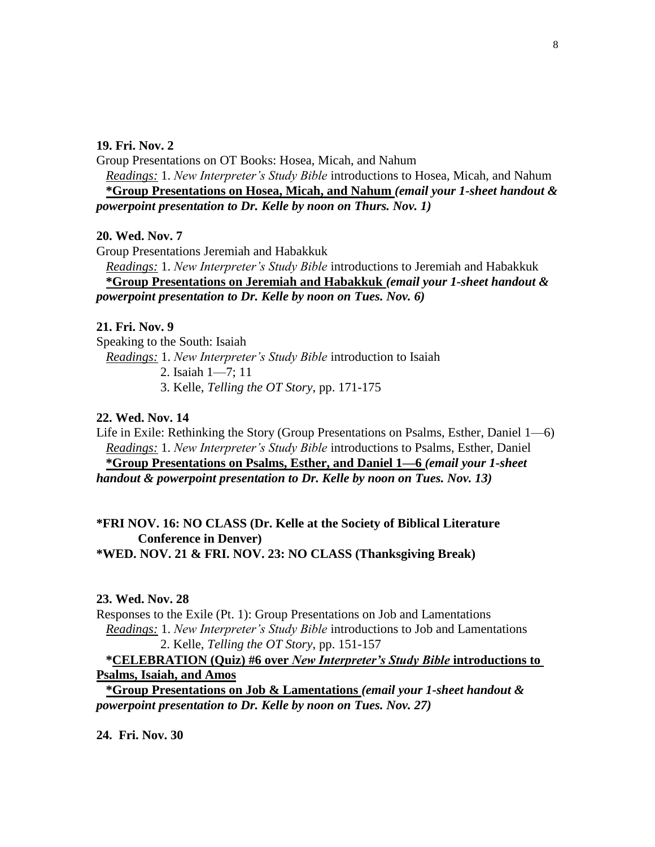#### **19. Fri. Nov. 2**

Group Presentations on OT Books: Hosea, Micah, and Nahum

 *Readings:* 1. *New Interpreter's Study Bible* introductions to Hosea, Micah, and Nahum **\*Group Presentations on Hosea, Micah, and Nahum** *(email your 1-sheet handout & powerpoint presentation to Dr. Kelle by noon on Thurs. Nov. 1)*

# **20. Wed. Nov. 7**

Group Presentations Jeremiah and Habakkuk

 *Readings:* 1. *New Interpreter's Study Bible* introductions to Jeremiah and Habakkuk **\*Group Presentations on Jeremiah and Habakkuk** *(email your 1-sheet handout & powerpoint presentation to Dr. Kelle by noon on Tues. Nov. 6)*

## **21. Fri. Nov. 9**

Speaking to the South: Isaiah *Readings:* 1. *New Interpreter's Study Bible* introduction to Isaiah 2. Isaiah 1—7; 11

3. Kelle, *Telling the OT Story*, pp. 171-175

# **22. Wed. Nov. 14**

Life in Exile: Rethinking the Story (Group Presentations on Psalms, Esther, Daniel 1—6) *Readings:* 1. *New Interpreter's Study Bible* introductions to Psalms, Esther, Daniel **\*Group Presentations on Psalms, Esther, and Daniel 1—6** *(email your 1-sheet handout & powerpoint presentation to Dr. Kelle by noon on Tues. Nov. 13)*

# **\*FRI NOV. 16: NO CLASS (Dr. Kelle at the Society of Biblical Literature Conference in Denver) \*WED. NOV. 21 & FRI. NOV. 23: NO CLASS (Thanksgiving Break)**

#### **23. Wed. Nov. 28**

Responses to the Exile (Pt. 1): Group Presentations on Job and Lamentations *Readings:* 1. *New Interpreter's Study Bible* introductions to Job and Lamentations 2. Kelle, *Telling the OT Story*, pp. 151-157

# **\*CELEBRATION (Quiz) #6 over** *New Interpreter's Study Bible* **introductions to Psalms, Isaiah, and Amos**

 **\*Group Presentations on Job & Lamentations** *(email your 1-sheet handout & powerpoint presentation to Dr. Kelle by noon on Tues. Nov. 27)*

**24. Fri. Nov. 30**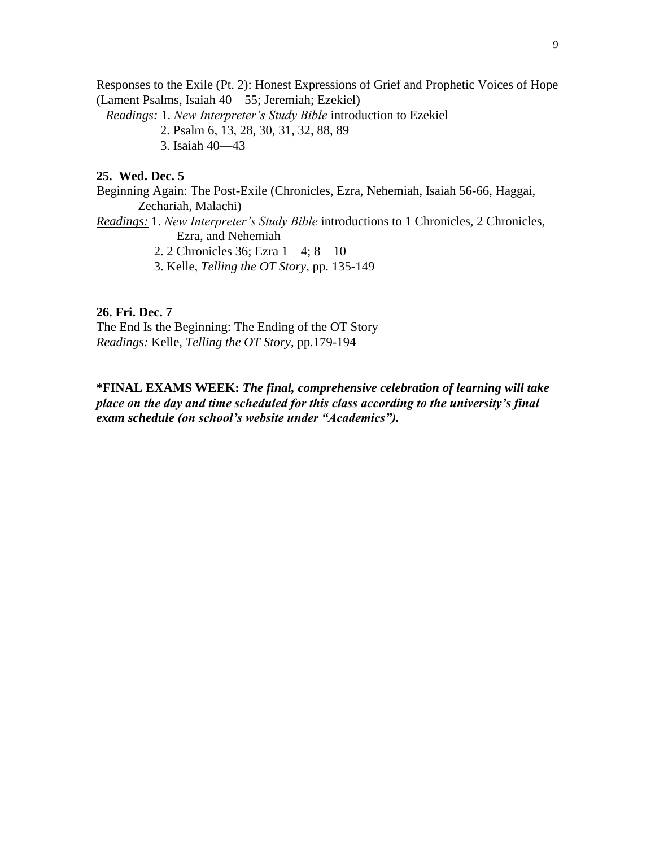Responses to the Exile (Pt. 2): Honest Expressions of Grief and Prophetic Voices of Hope (Lament Psalms, Isaiah 40—55; Jeremiah; Ezekiel)

*Readings:* 1. *New Interpreter's Study Bible* introduction to Ezekiel

2. Psalm 6, 13, 28, 30, 31, 32, 88, 89

3. Isaiah 40—43

# **25. Wed. Dec. 5**

Beginning Again: The Post-Exile (Chronicles, Ezra, Nehemiah, Isaiah 56-66, Haggai, Zechariah, Malachi)

*Readings:* 1. *New Interpreter's Study Bible* introductions to 1 Chronicles, 2 Chronicles, Ezra, and Nehemiah

2. 2 Chronicles 36; Ezra 1—4; 8—10

3. Kelle, *Telling the OT Story*, pp. 135-149

#### **26. Fri. Dec. 7**

The End Is the Beginning: The Ending of the OT Story *Readings:* Kelle, *Telling the OT Story*, pp.179-194

**\*FINAL EXAMS WEEK:** *The final, comprehensive celebration of learning will take place on the day and time scheduled for this class according to the university's final exam schedule (on school's website under "Academics").*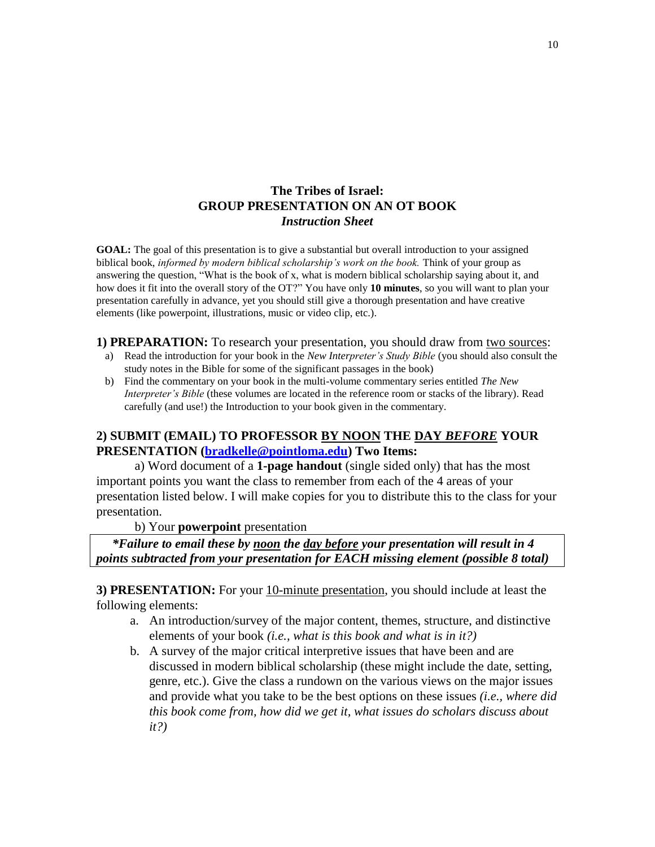# **The Tribes of Israel: GROUP PRESENTATION ON AN OT BOOK** *Instruction Sheet*

**GOAL:** The goal of this presentation is to give a substantial but overall introduction to your assigned biblical book, *informed by modern biblical scholarship's work on the book.* Think of your group as answering the question, "What is the book of x, what is modern biblical scholarship saying about it, and how does it fit into the overall story of the OT?" You have only **10 minutes**, so you will want to plan your presentation carefully in advance, yet you should still give a thorough presentation and have creative elements (like powerpoint, illustrations, music or video clip, etc.).

#### **1) PREPARATION:** To research your presentation, you should draw from two sources:

- a) Read the introduction for your book in the *New Interpreter's Study Bible* (you should also consult the study notes in the Bible for some of the significant passages in the book)
- b) Find the commentary on your book in the multi-volume commentary series entitled *The New Interpreter's Bible* (these volumes are located in the reference room or stacks of the library). Read carefully (and use!) the Introduction to your book given in the commentary.

# **2) SUBMIT (EMAIL) TO PROFESSOR BY NOON THE DAY** *BEFORE* **YOUR PRESENTATION [\(bradkelle@pointloma.edu\)](mailto:bradkelle@pointloma.edu) Two Items:**

a) Word document of a **1-page handout** (single sided only) that has the most important points you want the class to remember from each of the 4 areas of your presentation listed below. I will make copies for you to distribute this to the class for your presentation.

b) Your **powerpoint** presentation

 *\*Failure to email these by noon the day before your presentation will result in 4 points subtracted from your presentation for EACH missing element (possible 8 total)*

**3) PRESENTATION:** For your 10-minute presentation, you should include at least the following elements:

- a. An introduction/survey of the major content, themes, structure, and distinctive elements of your book *(i.e., what is this book and what is in it?)*
- b. A survey of the major critical interpretive issues that have been and are discussed in modern biblical scholarship (these might include the date, setting, genre, etc.). Give the class a rundown on the various views on the major issues and provide what you take to be the best options on these issues *(i.e., where did this book come from, how did we get it, what issues do scholars discuss about it?)*